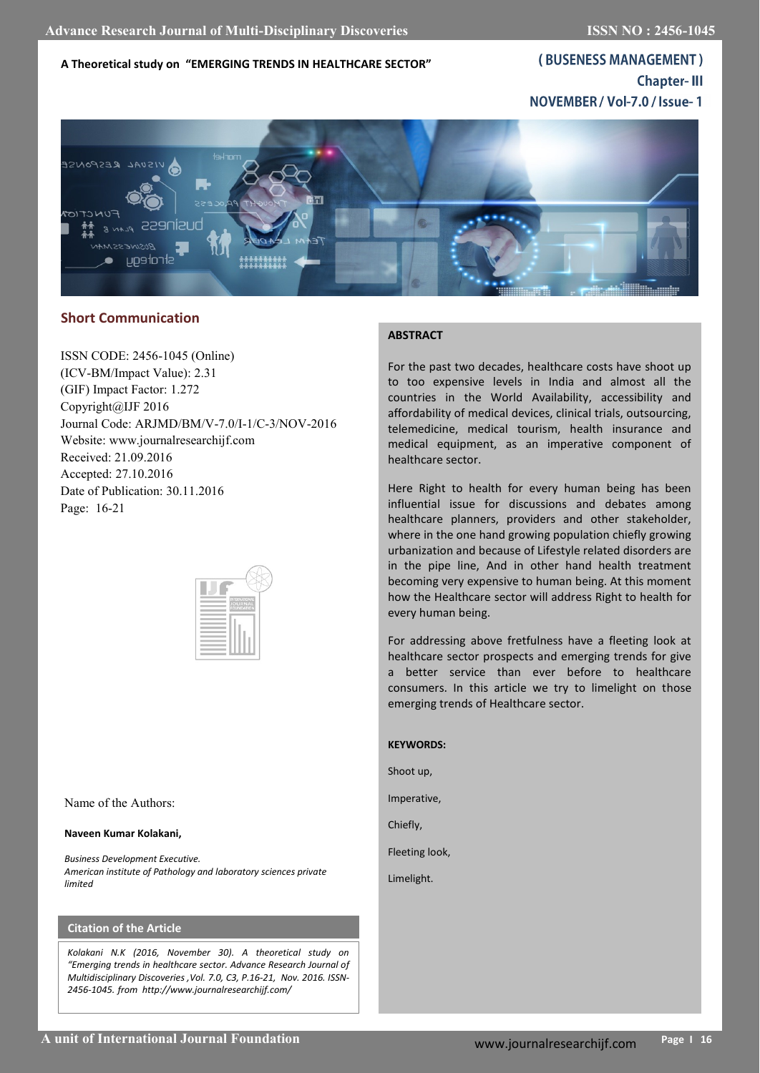**A Theoretical study on "EMERGING TRENDS IN HEALTHCARE SECTOR"**

(BUSENESS MANAGEMENT) **Chapter-III** NOVEMBER / Vol-7.0 / Issue-1



# **Short Communication**

ISSN CODE: 2456-1045 (Online) (ICV-BM/Impact Value): 2.31 (GIF) Impact Factor: 1.272 Copyright@IJF 2016 Journal Code: ARJMD/BM/V-7.0/I-1/C-3/NOV-2016 Website: www.journalresearchijf.com Received: 21.09.2016 Accepted: 27.10.2016 Date of Publication: 30.11.2016 Page: 16-21



Name of the Authors:

#### **Naveen Kumar Kolakani,**

*Business Development Executive. American institute of Pathology and laboratory sciences private limited*

# **Citation of the Article**

*Kolakani N.K (2016, November 30). A theoretical study on "Emerging trends in healthcare sector. Advance Research Journal of Multidisciplinary Discoveries ,Vol. 7.0, C3, P.16-21, Nov. 2016. ISSN-2456-1045. from http://www.journalresearchijf.com/*

# **ABSTRACT**

For the past two decades, healthcare costs have shoot up to too expensive levels in India and almost all the countries in the World Availability, accessibility and affordability of medical devices, clinical trials, outsourcing, telemedicine, medical tourism, health insurance and medical equipment, as an imperative component of healthcare sector.

Here Right to health for every human being has been influential issue for discussions and debates among healthcare planners, providers and other stakeholder, where in the one hand growing population chiefly growing urbanization and because of Lifestyle related disorders are in the pipe line, And in other hand health treatment becoming very expensive to human being. At this moment how the Healthcare sector will address Right to health for every human being.

For addressing above fretfulness have a fleeting look at healthcare sector prospects and emerging trends for give a better service than ever before to healthcare consumers. In this article we try to limelight on those emerging trends of Healthcare sector.

#### **KEYWORDS:**

Shoot up,

Imperative,

Chiefly,

Fleeting look,

Limelight.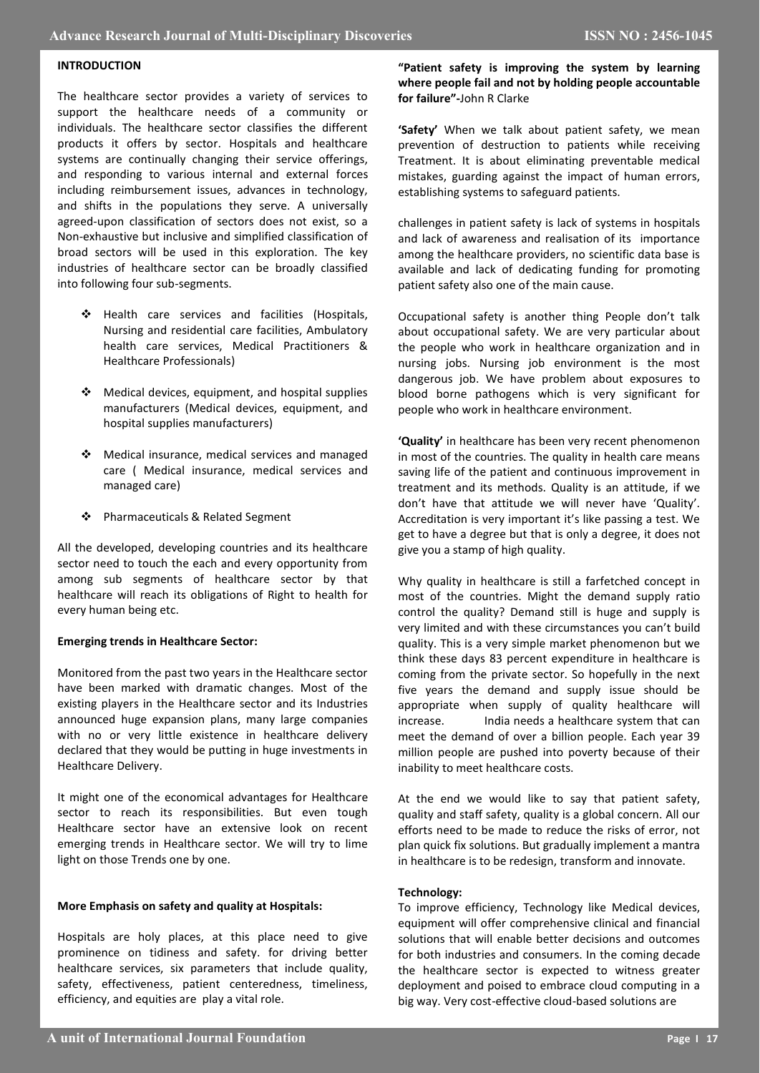## **INTRODUCTION**

The healthcare sector provides a variety of services to support the healthcare needs of a community or individuals. The healthcare sector classifies the different products it offers by sector. Hospitals and healthcare systems are continually changing their service offerings, and responding to various internal and external forces including reimbursement issues, advances in technology, and shifts in the populations they serve. A universally agreed-upon classification of sectors does not exist, so a Non-exhaustive but inclusive and simplified classification of broad sectors will be used in this exploration. The key industries of healthcare sector can be broadly classified into following four sub-segments.

- \* Health care services and facilities (Hospitals, Nursing and residential care facilities, Ambulatory health care services, Medical Practitioners & Healthcare Professionals)
- $\triangleleft$  Medical devices, equipment, and hospital supplies manufacturers (Medical devices, equipment, and hospital supplies manufacturers)
- Medical insurance, medical services and managed care ( Medical insurance, medical services and managed care)
- Pharmaceuticals & Related Segment

All the developed, developing countries and its healthcare sector need to touch the each and every opportunity from among sub segments of healthcare sector by that healthcare will reach its obligations of Right to health for every human being etc.

#### **Emerging trends in Healthcare Sector:**

Monitored from the past two years in the Healthcare sector have been marked with dramatic changes. Most of the existing players in the Healthcare sector and its Industries announced huge expansion plans, many large companies with no or very little existence in healthcare delivery declared that they would be putting in huge investments in Healthcare Delivery.

It might one of the economical advantages for Healthcare sector to reach its responsibilities. But even tough Healthcare sector have an extensive look on recent emerging trends in Healthcare sector. We will try to lime light on those Trends one by one.

#### **More Emphasis on safety and quality at Hospitals:**

Hospitals are holy places, at this place need to give prominence on tidiness and safety. for driving better healthcare services, six parameters that include quality, safety, effectiveness, patient centeredness, timeliness, efficiency, and equities are play a vital role.

**"Patient safety is improving the system by learning where people fail and not by holding people accountable for failure"-**John R Clarke

**'Safety'** When we talk about patient safety, we mean prevention of destruction to patients while receiving Treatment. It is about eliminating preventable medical mistakes, guarding against the impact of human errors, establishing systems to safeguard patients.

challenges in patient safety is lack of systems in hospitals and lack of awareness and realisation of its importance among the healthcare providers, no scientific data base is available and lack of dedicating funding for promoting patient safety also one of the main cause.

Occupational safety is another thing People don't talk about occupational safety. We are very particular about the people who work in healthcare organization and in nursing jobs. Nursing job environment is the most dangerous job. We have problem about exposures to blood borne pathogens which is very significant for people who work in healthcare environment.

**'Quality'** in healthcare has been very recent phenomenon in most of the countries. The quality in health care means saving life of the patient and continuous improvement in treatment and its methods. Quality is an attitude, if we don't have that attitude we will never have 'Quality'. Accreditation is very important it's like passing a test. We get to have a degree but that is only a degree, it does not give you a stamp of high quality.

Why quality in healthcare is still a farfetched concept in most of the countries. Might the demand supply ratio control the quality? Demand still is huge and supply is very limited and with these circumstances you can't build quality. This is a very simple market phenomenon but we think these days 83 percent expenditure in healthcare is coming from the private sector. So hopefully in the next five years the demand and supply issue should be appropriate when supply of quality healthcare will increase. India needs a healthcare system that can meet the demand of over a billion people. Each year 39 million people are pushed into poverty because of their inability to meet healthcare costs.

At the end we would like to say that patient safety, quality and staff safety, quality is a global concern. All our efforts need to be made to reduce the risks of error, not plan quick fix solutions. But gradually implement a mantra in healthcare is to be redesign, transform and innovate.

#### **Technology:**

To improve efficiency, Technology like Medical devices, equipment will offer comprehensive clinical and financial solutions that will enable better decisions and outcomes for both industries and consumers. In the coming decade the healthcare sector is expected to witness greater deployment and poised to embrace cloud computing in a big way. Very cost-effective cloud-based solutions are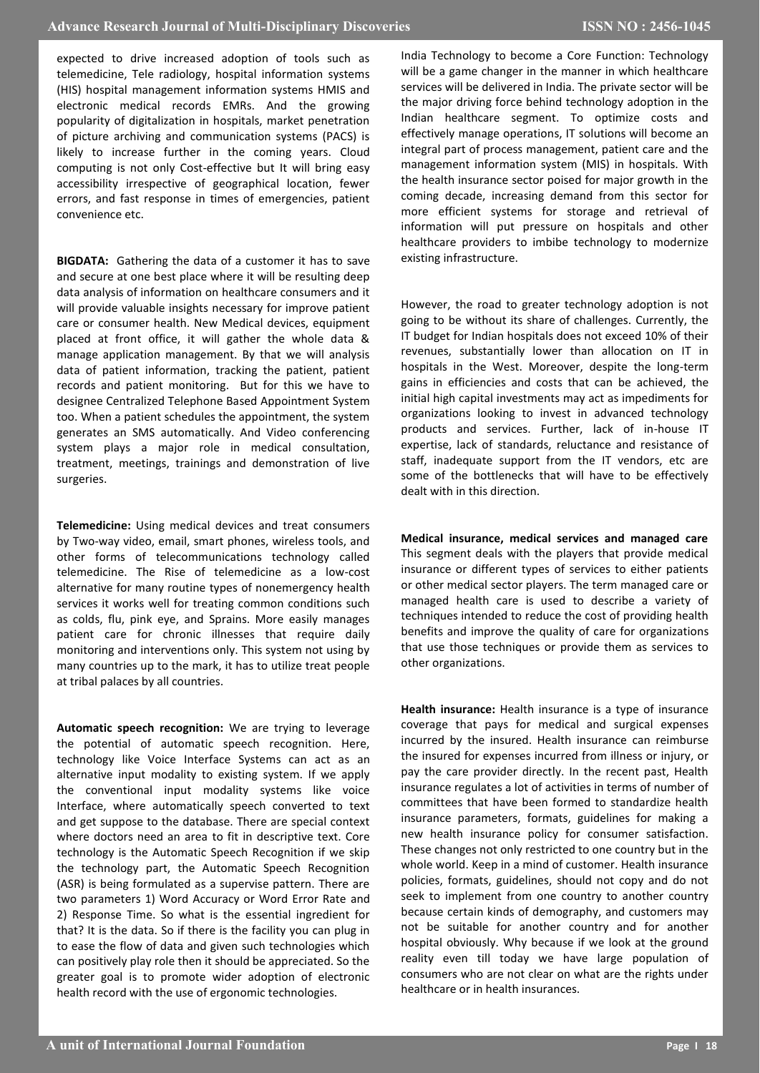expected to drive increased adoption of tools such as telemedicine, Tele radiology, hospital information systems (HIS) hospital management information systems HMIS and electronic medical records EMRs. And the growing popularity of digitalization in hospitals, market penetration of picture archiving and communication systems (PACS) is likely to increase further in the coming years. Cloud computing is not only Cost-effective but It will bring easy accessibility irrespective of geographical location, fewer errors, and fast response in times of emergencies, patient convenience etc.

**BIGDATA:** Gathering the data of a customer it has to save and secure at one best place where it will be resulting deep data analysis of information on healthcare consumers and it will provide valuable insights necessary for improve patient care or consumer health. New Medical devices, equipment placed at front office, it will gather the whole data & manage application management. By that we will analysis data of patient information, tracking the patient, patient records and patient monitoring. But for this we have to designee Centralized Telephone Based Appointment System too. When a patient schedules the appointment, the system generates an SMS automatically. And Video conferencing system plays a major role in medical consultation, treatment, meetings, trainings and demonstration of live surgeries.

**Telemedicine:** Using medical devices and treat consumers by Two-way video, email, smart phones, wireless tools, and other forms of telecommunications technology called telemedicine. The Rise of telemedicine as a low-cost alternative for many routine types of nonemergency health services it works well for treating common conditions such as colds, flu, pink eye, and Sprains. More easily manages patient care for chronic illnesses that require daily monitoring and interventions only. This system not using by many countries up to the mark, it has to utilize treat people at tribal palaces by all countries.

**Automatic speech recognition:** We are trying to leverage the potential of automatic speech recognition. Here, technology like Voice Interface Systems can act as an alternative input modality to existing system. If we apply the conventional input modality systems like voice Interface, where automatically speech converted to text and get suppose to the database. There are special context where doctors need an area to fit in descriptive text. Core technology is the Automatic Speech Recognition if we skip the technology part, the Automatic Speech Recognition (ASR) is being formulated as a supervise pattern. There are two parameters 1) Word Accuracy or Word Error Rate and 2) Response Time. So what is the essential ingredient for that? It is the data. So if there is the facility you can plug in to ease the flow of data and given such technologies which can positively play role then it should be appreciated. So the greater goal is to promote wider adoption of electronic health record with the use of ergonomic technologies.

India Technology to become a Core Function: Technology will be a game changer in the manner in which healthcare services will be delivered in India. The private sector will be the major driving force behind technology adoption in the Indian healthcare segment. To optimize costs and effectively manage operations, IT solutions will become an integral part of process management, patient care and the management information system (MIS) in hospitals. With the health insurance sector poised for major growth in the coming decade, increasing demand from this sector for more efficient systems for storage and retrieval of information will put pressure on hospitals and other healthcare providers to imbibe technology to modernize existing infrastructure.

However, the road to greater technology adoption is not going to be without its share of challenges. Currently, the IT budget for Indian hospitals does not exceed 10% of their revenues, substantially lower than allocation on IT in hospitals in the West. Moreover, despite the long-term gains in efficiencies and costs that can be achieved, the initial high capital investments may act as impediments for organizations looking to invest in advanced technology products and services. Further, lack of in-house IT expertise, lack of standards, reluctance and resistance of staff, inadequate support from the IT vendors, etc are some of the bottlenecks that will have to be effectively dealt with in this direction.

**Medical insurance, medical services and managed care** This segment deals with the players that provide medical insurance or different types of services to either patients or other medical sector players. The term managed care or managed health care is used to describe a variety of techniques intended to reduce the cost of providing health benefits and improve the quality of care for organizations that use those techniques or provide them as services to other organizations.

**Health insurance:** Health insurance is a type of insurance coverage that pays for medical and surgical expenses incurred by the insured. Health insurance can reimburse the insured for expenses incurred from illness or injury, or pay the care provider directly. In the recent past, Health insurance regulates a lot of activities in terms of number of committees that have been formed to standardize health insurance parameters, formats, guidelines for making a new health insurance policy for consumer satisfaction. These changes not only restricted to one country but in the whole world. Keep in a mind of customer. Health insurance policies, formats, guidelines, should not copy and do not seek to implement from one country to another country because certain kinds of demography, and customers may not be suitable for another country and for another hospital obviously. Why because if we look at the ground reality even till today we have large population of consumers who are not clear on what are the rights under healthcare or in health insurances.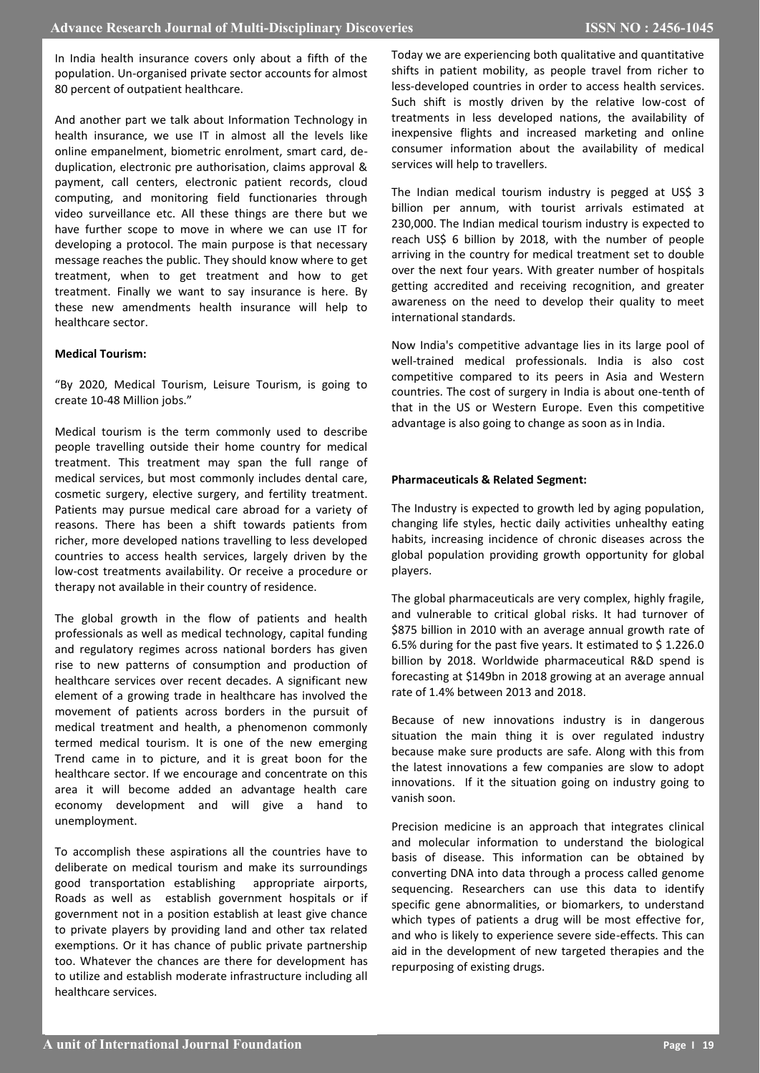In India health insurance covers only about a fifth of the population. Un-organised private sector accounts for almost 80 percent of outpatient healthcare.

And another part we talk about Information Technology in health insurance, we use IT in almost all the levels like online empanelment, biometric enrolment, smart card, deduplication, electronic pre authorisation, claims approval & payment, call centers, electronic patient records, cloud computing, and monitoring field functionaries through video surveillance etc. All these things are there but we have further scope to move in where we can use IT for developing a protocol. The main purpose is that necessary message reaches the public. They should know where to get treatment, when to get treatment and how to get treatment. Finally we want to say insurance is here. By these new amendments health insurance will help to healthcare sector.

## **Medical Tourism:**

"By 2020, Medical Tourism, Leisure Tourism, is going to create 10-48 Million jobs."

Medical tourism is the term commonly used to describe people travelling outside their home country for medical treatment. This treatment may span the full range of medical services, but most commonly includes dental care, cosmetic surgery, elective surgery, and fertility treatment. Patients may pursue medical care abroad for a variety of reasons. There has been a shift towards patients from richer, more developed nations travelling to less developed countries to access health services, largely driven by the low-cost treatments availability. Or receive a procedure or therapy not available in their country of residence.

The global growth in the flow of patients and health professionals as well as medical technology, capital funding and regulatory regimes across national borders has given rise to new patterns of consumption and production of healthcare services over recent decades. A significant new element of a growing trade in healthcare has involved the movement of patients across borders in the pursuit of medical treatment and health, a phenomenon commonly termed medical tourism. It is one of the new emerging Trend came in to picture, and it is great boon for the healthcare sector. If we encourage and concentrate on this area it will become added an advantage health care economy development and will give a hand to unemployment.

To accomplish these aspirations all the countries have to deliberate on medical tourism and make its surroundings good transportation establishing appropriate airports, Roads as well as establish government hospitals or if government not in a position establish at least give chance to private players by providing land and other tax related exemptions. Or it has chance of public private partnership too. Whatever the chances are there for development has to utilize and establish moderate infrastructure including all healthcare services.

Today we are experiencing both qualitative and quantitative shifts in patient mobility, as people travel from richer to less-developed countries in order to access health services. Such shift is mostly driven by the relative low-cost of treatments in less developed nations, the availability of inexpensive flights and increased marketing and online consumer information about the availability of medical services will help to travellers.

The Indian medical tourism industry is pegged at US\$ 3 billion per annum, with tourist arrivals estimated at 230,000. The Indian medical tourism industry is expected to reach US\$ 6 billion by 2018, with the number of people arriving in the country for medical treatment set to double over the next four years. With greater number of hospitals getting accredited and receiving recognition, and greater awareness on the need to develop their quality to meet international standards.

Now India's competitive advantage lies in its large pool of well-trained medical professionals. India is also cost competitive compared to its peers in Asia and Western countries. The cost of surgery in India is about one-tenth of that in the US or Western Europe. Even this competitive advantage is also going to change as soon as in India.

## **Pharmaceuticals & Related Segment:**

The Industry is expected to growth led by aging population, changing life styles, hectic daily activities unhealthy eating habits, increasing incidence of chronic diseases across the global population providing growth opportunity for global players.

The global pharmaceuticals are very complex, highly fragile, and vulnerable to critical global risks. It had turnover of \$875 billion in 2010 with an average annual growth rate of 6.5% during for the past five years. It estimated to \$ 1.226.0 billion by 2018. Worldwide pharmaceutical R&D spend is forecasting at \$149bn in 2018 growing at an average annual rate of 1.4% between 2013 and 2018.

Because of new innovations industry is in dangerous situation the main thing it is over regulated industry because make sure products are safe. Along with this from the latest innovations a few companies are slow to adopt innovations. If it the situation going on industry going to vanish soon.

Precision medicine is an approach that integrates clinical and molecular information to understand the biological basis of disease. This information can be obtained by converting DNA into data through a process called genome sequencing. Researchers can use this data to identify specific gene abnormalities, or biomarkers, to understand which types of patients a drug will be most effective for, and who is likely to experience severe side-effects. This can aid in the development of new targeted therapies and the repurposing of existing drugs.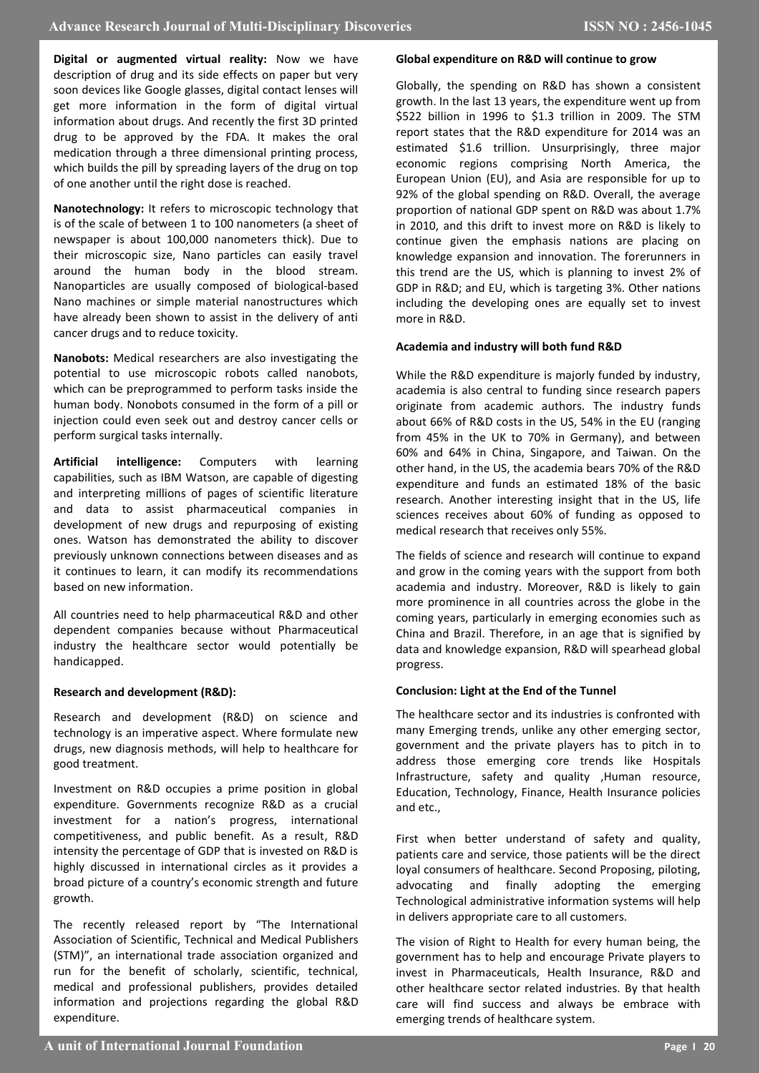**Digital or augmented virtual reality:** Now we have description of drug and its side effects on paper but very soon devices like Google glasses, digital contact lenses will get more information in the form of digital virtual information about drugs. And recently the first 3D printed drug to be approved by the FDA. It makes the oral medication through a three dimensional printing process, which builds the pill by spreading layers of the drug on top of one another until the right dose is reached.

**Nanotechnology:** It refers to microscopic technology that is of the scale of between 1 to 100 nanometers (a sheet of newspaper is about 100,000 nanometers thick). Due to their microscopic size, Nano particles can easily travel around the human body in the blood stream. Nanoparticles are usually composed of biological-based Nano machines or simple material nanostructures which have already been shown to assist in the delivery of anti cancer drugs and to reduce toxicity.

**Nanobots:** Medical researchers are also investigating the potential to use microscopic robots called nanobots, which can be preprogrammed to perform tasks inside the human body. Nonobots consumed in the form of a pill or injection could even seek out and destroy cancer cells or perform surgical tasks internally.

**Artificial intelligence:** Computers with learning capabilities, such as IBM Watson, are capable of digesting and interpreting millions of pages of scientific literature and data to assist pharmaceutical companies in development of new drugs and repurposing of existing ones. Watson has demonstrated the ability to discover previously unknown connections between diseases and as it continues to learn, it can modify its recommendations based on new information.

All countries need to help pharmaceutical R&D and other dependent companies because without Pharmaceutical industry the healthcare sector would potentially be handicapped.

## **Research and development (R&D):**

Research and development (R&D) on science and technology is an imperative aspect. Where formulate new drugs, new diagnosis methods, will help to healthcare for good treatment.

Investment on R&D occupies a prime position in global expenditure. Governments recognize R&D as a crucial investment for a nation's progress, international competitiveness, and public benefit. As a result, R&D intensity the percentage of GDP that is invested on R&D is highly discussed in international circles as it provides a broad picture of a country's economic strength and future growth.

The recently released report by "The International Association of Scientific, Technical and Medical Publishers (STM)", an international trade association organized and run for the benefit of scholarly, scientific, technical, medical and professional publishers, provides detailed information and projections regarding the global R&D expenditure.

### **Global expenditure on R&D will continue to grow**

Globally, the spending on R&D has shown a consistent growth. In the last 13 years, the expenditure went up from \$522 billion in 1996 to \$1.3 trillion in 2009. The STM report states that the R&D expenditure for 2014 was an estimated \$1.6 trillion. Unsurprisingly, three major economic regions comprising North America, the European Union (EU), and Asia are responsible for up to 92% of the global spending on R&D. Overall, the average proportion of national GDP spent on R&D was about 1.7% in 2010, and this drift to invest more on R&D is likely to continue given the emphasis nations are placing on knowledge expansion and innovation. The forerunners in this trend are the US, which is planning to invest 2% of GDP in R&D; and EU, which is targeting 3%. Other nations including the developing ones are equally set to invest more in R&D.

## **Academia and industry will both fund R&D**

While the R&D expenditure is majorly funded by industry, academia is also central to funding since research papers originate from academic authors. The industry funds about 66% of R&D costs in the US, 54% in the EU (ranging from 45% in the UK to 70% in Germany), and between 60% and 64% in China, Singapore, and Taiwan. On the other hand, in the US, the academia bears 70% of the R&D expenditure and funds an estimated 18% of the basic research. Another interesting insight that in the US, life sciences receives about 60% of funding as opposed to medical research that receives only 55%.

The fields of science and research will continue to expand and grow in the coming years with the support from both academia and industry. Moreover, R&D is likely to gain more prominence in all countries across the globe in the coming years, particularly in emerging economies such as China and Brazil. Therefore, in an age that is signified by data and knowledge expansion, R&D will spearhead global progress.

## **Conclusion: Light at the End of the Tunnel**

The healthcare sector and its industries is confronted with many Emerging trends, unlike any other emerging sector, government and the private players has to pitch in to address those emerging core trends like Hospitals Infrastructure, safety and quality ,Human resource, Education, Technology, Finance, Health Insurance policies and etc.,

First when better understand of safety and quality, patients care and service, those patients will be the direct loyal consumers of healthcare. Second Proposing, piloting, advocating and finally adopting the emerging Technological administrative information systems will help in delivers appropriate care to all customers.

The vision of Right to Health for every human being, the government has to help and encourage Private players to invest in Pharmaceuticals, Health Insurance, R&D and other healthcare sector related industries. By that health care will find success and always be embrace with emerging trends of healthcare system.